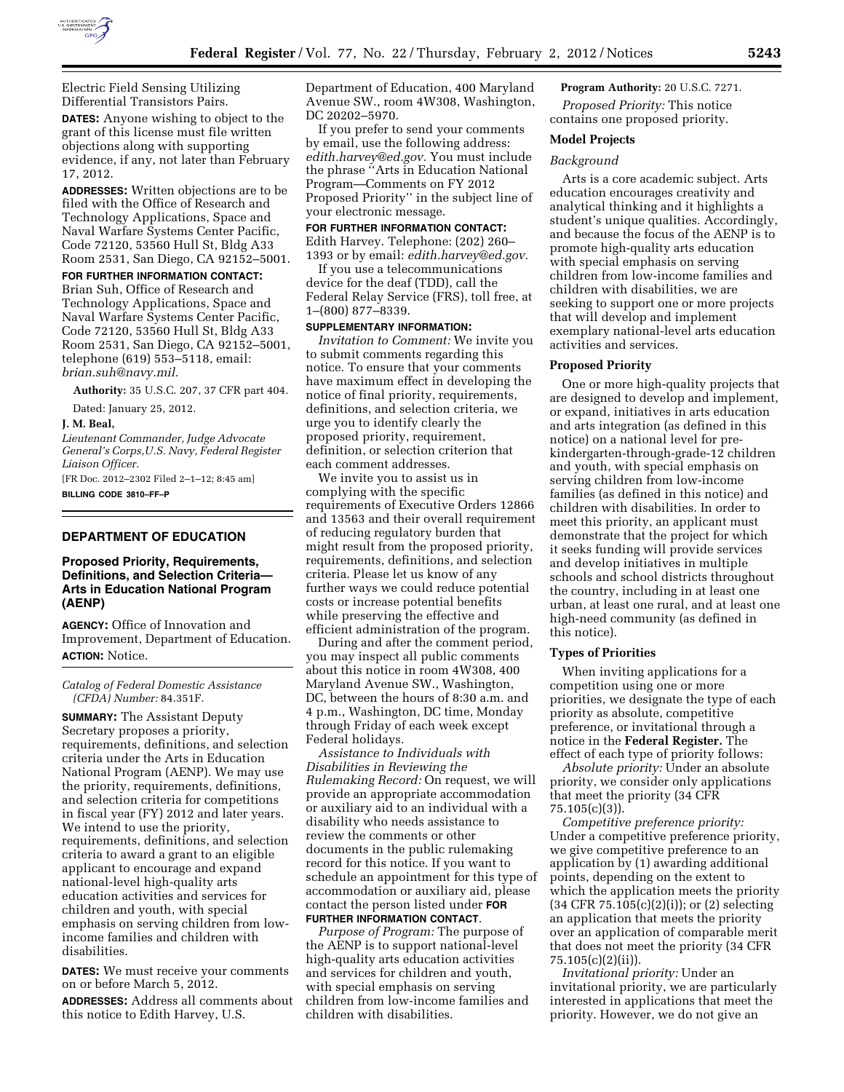

Electric Field Sensing Utilizing Differential Transistors Pairs.

**DATES:** Anyone wishing to object to the grant of this license must file written objections along with supporting evidence, if any, not later than February 17, 2012.

**ADDRESSES:** Written objections are to be filed with the Office of Research and Technology Applications, Space and Naval Warfare Systems Center Pacific, Code 72120, 53560 Hull St, Bldg A33 Room 2531, San Diego, CA 92152–5001.

#### **FOR FURTHER INFORMATION CONTACT:**

Brian Suh, Office of Research and Technology Applications, Space and Naval Warfare Systems Center Pacific, Code 72120, 53560 Hull St, Bldg A33 Room 2531, San Diego, CA 92152–5001, telephone (619) 553–5118, email: *[brian.suh@navy.mil.](mailto:brian.suh@navy.mil)* 

**Authority:** 35 U.S.C. 207, 37 CFR part 404.

Dated: January 25, 2012.

**J. M. Beal,** 

*Lieutenant Commander, Judge Advocate General's Corps,U.S. Navy, Federal Register Liaison Officer.* 

[FR Doc. 2012–2302 Filed 2–1–12; 8:45 am] **BILLING CODE 3810–FF–P** 

# **DEPARTMENT OF EDUCATION**

# **Proposed Priority, Requirements, Definitions, and Selection Criteria— Arts in Education National Program (AENP)**

**AGENCY:** Office of Innovation and Improvement, Department of Education. **ACTION:** Notice.

*Catalog of Federal Domestic Assistance (CFDA) Number:* 84.351F.

**SUMMARY:** The Assistant Deputy Secretary proposes a priority, requirements, definitions, and selection criteria under the Arts in Education National Program (AENP). We may use the priority, requirements, definitions, and selection criteria for competitions in fiscal year (FY) 2012 and later years. We intend to use the priority, requirements, definitions, and selection criteria to award a grant to an eligible applicant to encourage and expand national-level high-quality arts education activities and services for children and youth, with special emphasis on serving children from lowincome families and children with disabilities.

**DATES:** We must receive your comments on or before March 5, 2012.

**ADDRESSES:** Address all comments about this notice to Edith Harvey, U.S.

Department of Education, 400 Maryland Avenue SW., room 4W308, Washington, DC 20202–5970.

If you prefer to send your comments by email, use the following address: *[edith.harvey@ed.gov.](mailto:edith.harvey@ed.gov)* You must include the phrase ''Arts in Education National Program—Comments on FY 2012 Proposed Priority'' in the subject line of your electronic message.

## **FOR FURTHER INFORMATION CONTACT:**  Edith Harvey. Telephone: (202) 260–

1393 or by email: *[edith.harvey@ed.gov.](mailto:edith.harvey@ed.gov)*  If you use a telecommunications

device for the deaf (TDD), call the Federal Relay Service (FRS), toll free, at 1–(800) 877–8339.

## **SUPPLEMENTARY INFORMATION:**

*Invitation to Comment:* We invite you to submit comments regarding this notice. To ensure that your comments have maximum effect in developing the notice of final priority, requirements, definitions, and selection criteria, we urge you to identify clearly the proposed priority, requirement, definition, or selection criterion that each comment addresses.

We invite you to assist us in complying with the specific requirements of Executive Orders 12866 and 13563 and their overall requirement of reducing regulatory burden that might result from the proposed priority, requirements, definitions, and selection criteria. Please let us know of any further ways we could reduce potential costs or increase potential benefits while preserving the effective and efficient administration of the program.

During and after the comment period, you may inspect all public comments about this notice in room 4W308, 400 Maryland Avenue SW., Washington, DC, between the hours of 8:30 a.m. and 4 p.m., Washington, DC time, Monday through Friday of each week except Federal holidays.

*Assistance to Individuals with Disabilities in Reviewing the Rulemaking Record:* On request, we will provide an appropriate accommodation or auxiliary aid to an individual with a disability who needs assistance to review the comments or other documents in the public rulemaking record for this notice. If you want to schedule an appointment for this type of accommodation or auxiliary aid, please contact the person listed under **FOR FURTHER INFORMATION CONTACT**.

*Purpose of Program:* The purpose of the AENP is to support national-level high-quality arts education activities and services for children and youth, with special emphasis on serving children from low-income families and children with disabilities.

# **Program Authority:** 20 U.S.C. 7271.

*Proposed Priority:* This notice contains one proposed priority.

#### **Model Projects**

## *Background*

Arts is a core academic subject. Arts education encourages creativity and analytical thinking and it highlights a student's unique qualities. Accordingly, and because the focus of the AENP is to promote high-quality arts education with special emphasis on serving children from low-income families and children with disabilities, we are seeking to support one or more projects that will develop and implement exemplary national-level arts education activities and services.

# **Proposed Priority**

One or more high-quality projects that are designed to develop and implement, or expand, initiatives in arts education and arts integration (as defined in this notice) on a national level for prekindergarten-through-grade-12 children and youth, with special emphasis on serving children from low-income families (as defined in this notice) and children with disabilities. In order to meet this priority, an applicant must demonstrate that the project for which it seeks funding will provide services and develop initiatives in multiple schools and school districts throughout the country, including in at least one urban, at least one rural, and at least one high-need community (as defined in this notice).

## **Types of Priorities**

When inviting applications for a competition using one or more priorities, we designate the type of each priority as absolute, competitive preference, or invitational through a notice in the **Federal Register.** The effect of each type of priority follows:

*Absolute priority:* Under an absolute priority, we consider only applications that meet the priority (34 CFR 75.105(c)(3)).

*Competitive preference priority:*  Under a competitive preference priority, we give competitive preference to an application by (1) awarding additional points, depending on the extent to which the application meets the priority (34 CFR 75.105(c)(2)(i)); or (2) selecting an application that meets the priority over an application of comparable merit that does not meet the priority (34 CFR 75.105(c)(2)(ii)).

*Invitational priority:* Under an invitational priority, we are particularly interested in applications that meet the priority. However, we do not give an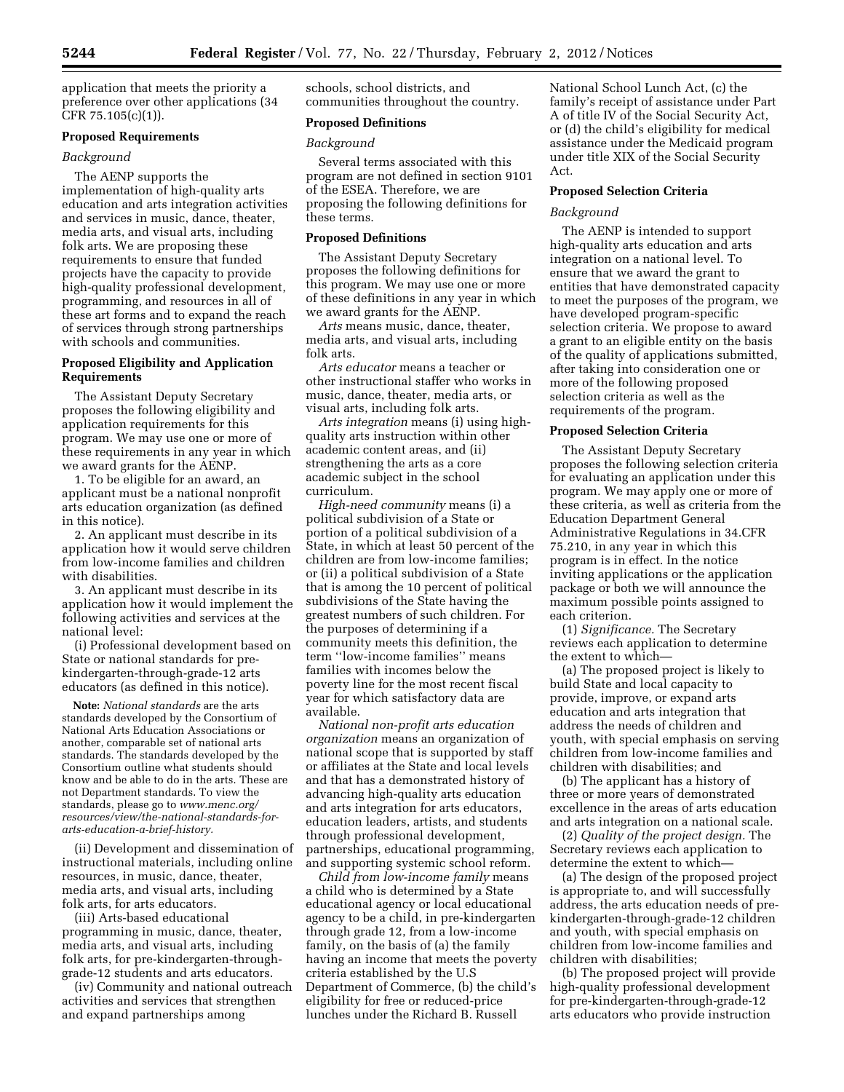application that meets the priority a preference over other applications (34 CFR 75.105(c)(1)).

## **Proposed Requirements**

#### *Background*

The AENP supports the implementation of high-quality arts education and arts integration activities and services in music, dance, theater, media arts, and visual arts, including folk arts. We are proposing these requirements to ensure that funded projects have the capacity to provide high-quality professional development, programming, and resources in all of these art forms and to expand the reach of services through strong partnerships with schools and communities.

# **Proposed Eligibility and Application Requirements**

The Assistant Deputy Secretary proposes the following eligibility and application requirements for this program. We may use one or more of these requirements in any year in which we award grants for the AENP.

1. To be eligible for an award, an applicant must be a national nonprofit arts education organization (as defined in this notice).

2. An applicant must describe in its application how it would serve children from low-income families and children with disabilities.

3. An applicant must describe in its application how it would implement the following activities and services at the national level:

(i) Professional development based on State or national standards for prekindergarten-through-grade-12 arts educators (as defined in this notice).

**Note:** *National standards* are the arts standards developed by the Consortium of National Arts Education Associations or another, comparable set of national arts standards. The standards developed by the Consortium outline what students should know and be able to do in the arts. These are not Department standards. To view the standards, please go to *[www.menc.org/](http://www.menc.org/resources/view/the-national-standards-for-arts-education-a-brief-history)  [resources/view/the-national-standards-for](http://www.menc.org/resources/view/the-national-standards-for-arts-education-a-brief-history)[arts-education-a-brief-history.](http://www.menc.org/resources/view/the-national-standards-for-arts-education-a-brief-history)* 

(ii) Development and dissemination of instructional materials, including online resources, in music, dance, theater, media arts, and visual arts, including folk arts, for arts educators.

(iii) Arts-based educational programming in music, dance, theater, media arts, and visual arts, including folk arts, for pre-kindergarten-throughgrade-12 students and arts educators.

(iv) Community and national outreach activities and services that strengthen and expand partnerships among

schools, school districts, and communities throughout the country.

## **Proposed Definitions**

## *Background*

Several terms associated with this program are not defined in section 9101 of the ESEA. Therefore, we are proposing the following definitions for these terms.

## **Proposed Definitions**

The Assistant Deputy Secretary proposes the following definitions for this program. We may use one or more of these definitions in any year in which we award grants for the AENP.

*Arts* means music, dance, theater, media arts, and visual arts, including folk arts.

*Arts educator* means a teacher or other instructional staffer who works in music, dance, theater, media arts, or visual arts, including folk arts.

*Arts integration* means (i) using highquality arts instruction within other academic content areas, and (ii) strengthening the arts as a core academic subject in the school curriculum.

*High-need community* means (i) a political subdivision of a State or portion of a political subdivision of a State, in which at least 50 percent of the children are from low-income families; or (ii) a political subdivision of a State that is among the 10 percent of political subdivisions of the State having the greatest numbers of such children. For the purposes of determining if a community meets this definition, the term ''low-income families'' means families with incomes below the poverty line for the most recent fiscal year for which satisfactory data are available.

*National non-profit arts education organization* means an organization of national scope that is supported by staff or affiliates at the State and local levels and that has a demonstrated history of advancing high-quality arts education and arts integration for arts educators, education leaders, artists, and students through professional development, partnerships, educational programming, and supporting systemic school reform.

*Child from low-income family* means a child who is determined by a State educational agency or local educational agency to be a child, in pre-kindergarten through grade 12, from a low-income family, on the basis of (a) the family having an income that meets the poverty criteria established by the U.S Department of Commerce, (b) the child's eligibility for free or reduced-price lunches under the Richard B. Russell

National School Lunch Act, (c) the family's receipt of assistance under Part A of title IV of the Social Security Act, or (d) the child's eligibility for medical assistance under the Medicaid program under title XIX of the Social Security Act.

#### **Proposed Selection Criteria**

### *Background*

The AENP is intended to support high-quality arts education and arts integration on a national level. To ensure that we award the grant to entities that have demonstrated capacity to meet the purposes of the program, we have developed program-specific selection criteria. We propose to award a grant to an eligible entity on the basis of the quality of applications submitted, after taking into consideration one or more of the following proposed selection criteria as well as the requirements of the program.

#### **Proposed Selection Criteria**

The Assistant Deputy Secretary proposes the following selection criteria for evaluating an application under this program. We may apply one or more of these criteria, as well as criteria from the Education Department General Administrative Regulations in 34.CFR 75.210, in any year in which this program is in effect. In the notice inviting applications or the application package or both we will announce the maximum possible points assigned to each criterion.

(1) *Significance.* The Secretary reviews each application to determine the extent to which—

(a) The proposed project is likely to build State and local capacity to provide, improve, or expand arts education and arts integration that address the needs of children and youth, with special emphasis on serving children from low-income families and children with disabilities; and

(b) The applicant has a history of three or more years of demonstrated excellence in the areas of arts education and arts integration on a national scale.

(2) *Quality of the project design.* The Secretary reviews each application to determine the extent to which—

(a) The design of the proposed project is appropriate to, and will successfully address, the arts education needs of prekindergarten-through-grade-12 children and youth, with special emphasis on children from low-income families and children with disabilities;

(b) The proposed project will provide high-quality professional development for pre-kindergarten-through-grade-12 arts educators who provide instruction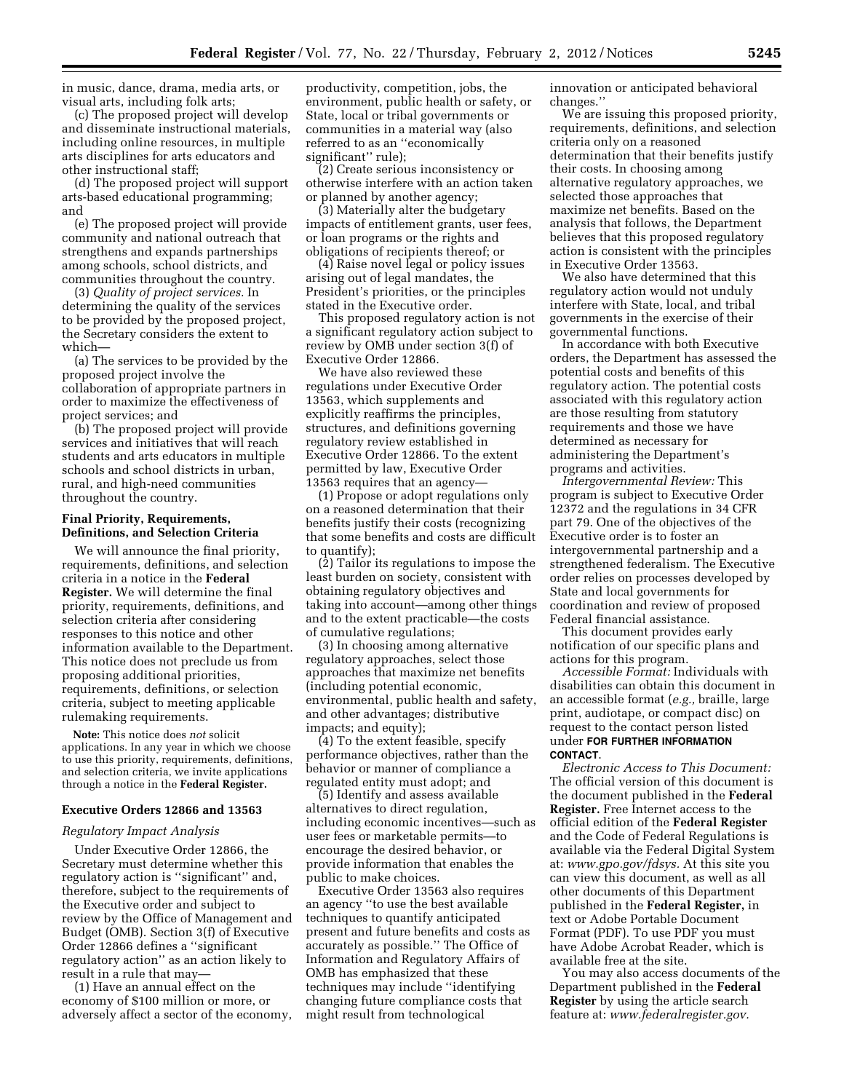in music, dance, drama, media arts, or visual arts, including folk arts;

(c) The proposed project will develop and disseminate instructional materials, including online resources, in multiple arts disciplines for arts educators and other instructional staff;

(d) The proposed project will support arts-based educational programming; and

(e) The proposed project will provide community and national outreach that strengthens and expands partnerships among schools, school districts, and communities throughout the country.

(3) *Quality of project services.* In determining the quality of the services to be provided by the proposed project, the Secretary considers the extent to which—

(a) The services to be provided by the proposed project involve the collaboration of appropriate partners in order to maximize the effectiveness of project services; and

(b) The proposed project will provide services and initiatives that will reach students and arts educators in multiple schools and school districts in urban, rural, and high-need communities throughout the country.

#### **Final Priority, Requirements, Definitions, and Selection Criteria**

We will announce the final priority, requirements, definitions, and selection criteria in a notice in the **Federal Register.** We will determine the final priority, requirements, definitions, and selection criteria after considering responses to this notice and other information available to the Department. This notice does not preclude us from proposing additional priorities, requirements, definitions, or selection criteria, subject to meeting applicable rulemaking requirements.

**Note:** This notice does *not* solicit applications. In any year in which we choose to use this priority, requirements, definitions, and selection criteria, we invite applications through a notice in the **Federal Register.** 

#### **Executive Orders 12866 and 13563**

#### *Regulatory Impact Analysis*

Under Executive Order 12866, the Secretary must determine whether this regulatory action is ''significant'' and, therefore, subject to the requirements of the Executive order and subject to review by the Office of Management and Budget (OMB). Section 3(f) of Executive Order 12866 defines a ''significant regulatory action'' as an action likely to result in a rule that may—

(1) Have an annual effect on the economy of \$100 million or more, or adversely affect a sector of the economy,

productivity, competition, jobs, the environment, public health or safety, or State, local or tribal governments or communities in a material way (also referred to as an ''economically significant'' rule);

(2) Create serious inconsistency or otherwise interfere with an action taken or planned by another agency;

(3) Materially alter the budgetary impacts of entitlement grants, user fees, or loan programs or the rights and obligations of recipients thereof; or

(4) Raise novel legal or policy issues arising out of legal mandates, the President's priorities, or the principles stated in the Executive order.

This proposed regulatory action is not a significant regulatory action subject to review by OMB under section 3(f) of Executive Order 12866.

We have also reviewed these regulations under Executive Order 13563, which supplements and explicitly reaffirms the principles, structures, and definitions governing regulatory review established in Executive Order 12866. To the extent permitted by law, Executive Order 13563 requires that an agency—

(1) Propose or adopt regulations only on a reasoned determination that their benefits justify their costs (recognizing that some benefits and costs are difficult to quantify);

(2) Tailor its regulations to impose the least burden on society, consistent with obtaining regulatory objectives and taking into account—among other things and to the extent practicable—the costs of cumulative regulations;

(3) In choosing among alternative regulatory approaches, select those approaches that maximize net benefits (including potential economic, environmental, public health and safety, and other advantages; distributive impacts; and equity);

(4) To the extent feasible, specify performance objectives, rather than the behavior or manner of compliance a regulated entity must adopt; and

(5) Identify and assess available alternatives to direct regulation, including economic incentives—such as user fees or marketable permits—to encourage the desired behavior, or provide information that enables the public to make choices.

Executive Order 13563 also requires an agency ''to use the best available techniques to quantify anticipated present and future benefits and costs as accurately as possible.'' The Office of Information and Regulatory Affairs of OMB has emphasized that these techniques may include ''identifying changing future compliance costs that might result from technological

innovation or anticipated behavioral changes.''

We are issuing this proposed priority, requirements, definitions, and selection criteria only on a reasoned determination that their benefits justify their costs. In choosing among alternative regulatory approaches, we selected those approaches that maximize net benefits. Based on the analysis that follows, the Department believes that this proposed regulatory action is consistent with the principles in Executive Order 13563.

We also have determined that this regulatory action would not unduly interfere with State, local, and tribal governments in the exercise of their governmental functions.

In accordance with both Executive orders, the Department has assessed the potential costs and benefits of this regulatory action. The potential costs associated with this regulatory action are those resulting from statutory requirements and those we have determined as necessary for administering the Department's programs and activities.

*Intergovernmental Review:* This program is subject to Executive Order 12372 and the regulations in 34 CFR part 79. One of the objectives of the Executive order is to foster an intergovernmental partnership and a strengthened federalism. The Executive order relies on processes developed by State and local governments for coordination and review of proposed Federal financial assistance.

This document provides early notification of our specific plans and actions for this program.

*Accessible Format:* Individuals with disabilities can obtain this document in an accessible format (*e.g.,* braille, large print, audiotape, or compact disc) on request to the contact person listed under **FOR FURTHER INFORMATION CONTACT**.

*Electronic Access to This Document:*  The official version of this document is the document published in the **Federal Register.** Free Internet access to the official edition of the **Federal Register**  and the Code of Federal Regulations is available via the Federal Digital System at: *[www.gpo.gov/fdsys.](http://www.gpo.gov/fdsys)* At this site you can view this document, as well as all other documents of this Department published in the **Federal Register,** in text or Adobe Portable Document Format (PDF). To use PDF you must have Adobe Acrobat Reader, which is available free at the site.

You may also access documents of the Department published in the **Federal Register** by using the article search feature at: *[www.federalregister.gov.](http://www.federalregister.gov)*